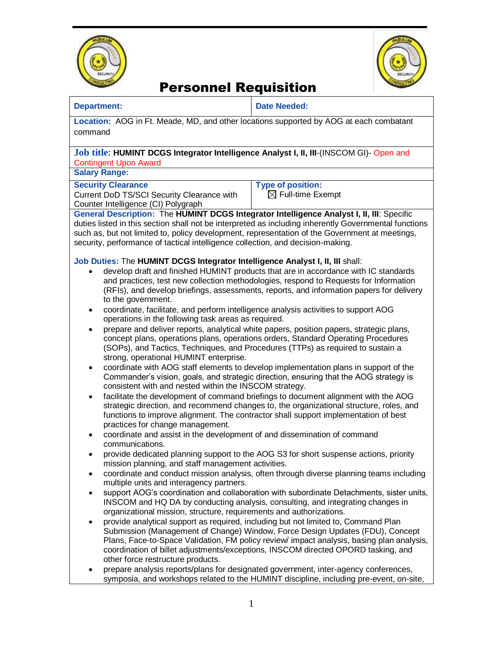



# Personnel Requisition

### **Department: Date Needed:**

**Location:** AOG in Ft. Meade, MD, and other locations supported by AOG at each combatant command

### **Job title**: **HUMINT DCGS Integrator Intelligence Analyst I, II, III**-(INSCOM GI)- Open and Contingent Upon Award

**Salary Range:** 

## **Security Clearance**

Current DoD TS/SCI Security Clearance with Counter Intelligence (CI) Polygraph

**Type of position:** 

 $\boxtimes$  Full-time Exempt

## **General Description:** The **HUMINT DCGS Integrator Intelligence Analyst I, II, III**: Specific

duties listed in this section shall not be interpreted as including inherently Governmental functions such as, but not limited to, policy development, representation of the Government at meetings, security, performance of tactical intelligence collection, and decision-making.

## **Job Duties:** The **HUMINT DCGS Integrator Intelligence Analyst I, II, III** shall:

- develop draft and finished HUMINT products that are in accordance with IC standards and practices, test new collection methodologies, respond to Requests for Information (RFIs), and develop briefings, assessments, reports, and information papers for delivery to the government.
- coordinate, facilitate, and perform intelligence analysis activities to support AOG operations in the following task areas as required.
- prepare and deliver reports, analytical white papers, position papers, strategic plans, concept plans, operations plans, operations orders, Standard Operating Procedures (SOPs), and Tactics, Techniques, and Procedures (TTPs) as required to sustain a strong, operational HUMINT enterprise.
- coordinate with AOG staff elements to develop implementation plans in support of the Commander's vision, goals, and strategic direction, ensuring that the AOG strategy is consistent with and nested within the INSCOM strategy.
- facilitate the development of command briefings to document alignment with the AOG strategic direction, and recommend changes to, the organizational structure, roles, and functions to improve alignment. The contractor shall support implementation of best practices for change management.
- coordinate and assist in the development of and dissemination of command communications.
- provide dedicated planning support to the AOG S3 for short suspense actions, priority mission planning, and staff management activities.
- coordinate and conduct mission analysis, often through diverse planning teams including multiple units and interagency partners.
- support AOG's coordination and collaboration with subordinate Detachments, sister units, INSCOM and HQ DA by conducting analysis, consulting, and integrating changes in organizational mission, structure, requirements and authorizations.
- provide analytical support as required, including but not limited to, Command Plan Submission (Management of Change) Window, Force Design Updates (FDU), Concept Plans, Face-to-Space Validation, FM policy review/ impact analysis, basing plan analysis, coordination of billet adjustments/exceptions, INSCOM directed OPORD tasking, and other force restructure products.
- prepare analysis reports/plans for designated government, inter-agency conferences, symposia, and workshops related to the HUMINT discipline, including pre-event, on-site,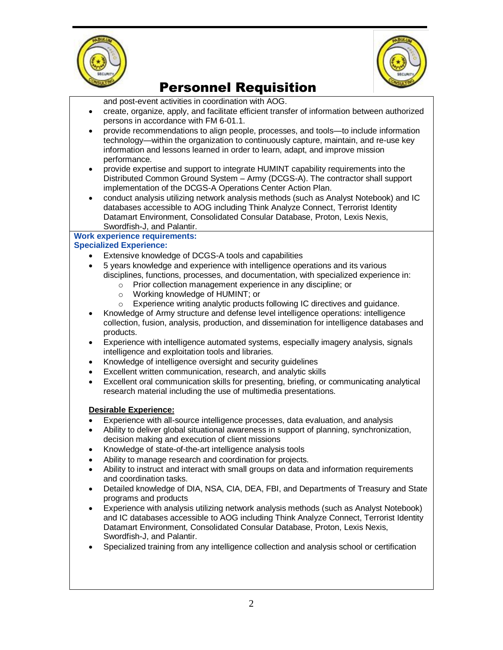



# Personnel Requisition

and post-event activities in coordination with AOG.

- create, organize, apply, and facilitate efficient transfer of information between authorized persons in accordance with FM 6-01.1.
- provide recommendations to align people, processes, and tools—to include information technology—within the organization to continuously capture, maintain, and re-use key information and lessons learned in order to learn, adapt, and improve mission performance.
- provide expertise and support to integrate HUMINT capability requirements into the Distributed Common Ground System – Army (DCGS-A). The contractor shall support implementation of the DCGS-A Operations Center Action Plan.
- conduct analysis utilizing network analysis methods (such as Analyst Notebook) and IC databases accessible to AOG including Think Analyze Connect, Terrorist Identity Datamart Environment, Consolidated Consular Database, Proton, Lexis Nexis, Swordfish-J, and Palantir.

## **Work experience requirements:**

## **Specialized Experience:**

- Extensive knowledge of DCGS-A tools and capabilities
- 5 years knowledge and experience with intelligence operations and its various disciplines, functions, processes, and documentation, with specialized experience in:
	- o Prior collection management experience in any discipline; or
		- o Working knowledge of HUMINT; or
		- o Experience writing analytic products following IC directives and guidance.
- Knowledge of Army structure and defense level intelligence operations: intelligence collection, fusion, analysis, production, and dissemination for intelligence databases and products.
- Experience with intelligence automated systems, especially imagery analysis, signals intelligence and exploitation tools and libraries.
- Knowledge of intelligence oversight and security guidelines
- Excellent written communication, research, and analytic skills
- Excellent oral communication skills for presenting, briefing, or communicating analytical research material including the use of multimedia presentations.

### **Desirable Experience:**

- Experience with all-source intelligence processes, data evaluation, and analysis
- Ability to deliver global situational awareness in support of planning, synchronization, decision making and execution of client missions
- Knowledge of state-of-the-art intelligence analysis tools
- Ability to manage research and coordination for projects.
- Ability to instruct and interact with small groups on data and information requirements and coordination tasks.
- Detailed knowledge of DIA, NSA, CIA, DEA, FBI, and Departments of Treasury and State programs and products
- Experience with analysis utilizing network analysis methods (such as Analyst Notebook) and IC databases accessible to AOG including Think Analyze Connect, Terrorist Identity Datamart Environment, Consolidated Consular Database, Proton, Lexis Nexis, Swordfish-J, and Palantir.
- Specialized training from any intelligence collection and analysis school or certification